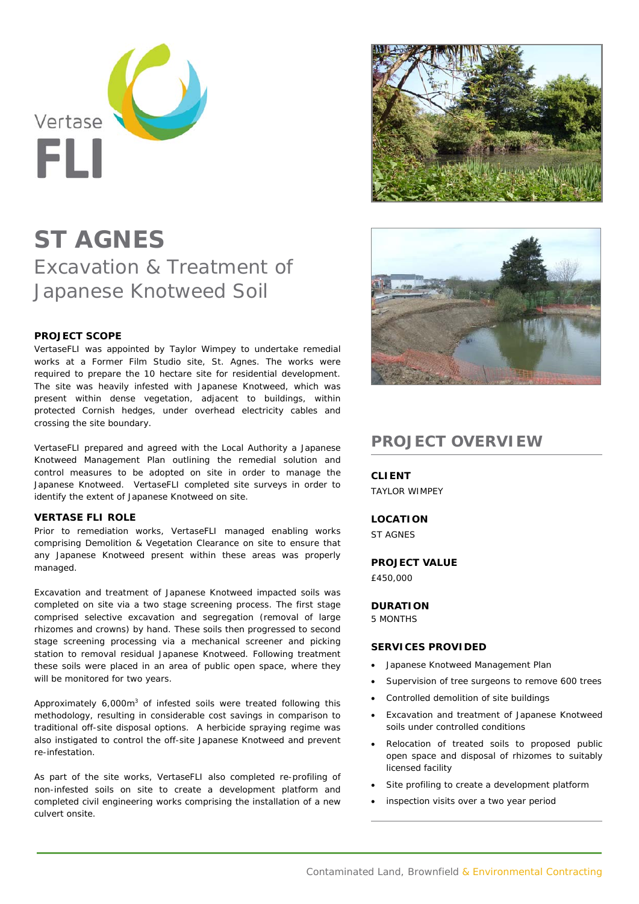

# **ST AGNES**  Excavation & Treatment of Japanese Knotweed Soil

## **PROJECT SCOPE**

VertaseFLI was appointed by Taylor Wimpey to undertake remedial works at a Former Film Studio site, St. Agnes. The works were required to prepare the 10 hectare site for residential development. The site was heavily infested with Japanese Knotweed, which was present within dense vegetation, adjacent to buildings, within protected Cornish hedges, under overhead electricity cables and crossing the site boundary.

VertaseFLI prepared and agreed with the Local Authority a Japanese Knotweed Management Plan outlining the remedial solution and control measures to be adopted on site in order to manage the Japanese Knotweed. VertaseFLI completed site surveys in order to identify the extent of Japanese Knotweed on site.

### **VERTASE FLI ROLE**

Prior to remediation works, VertaseFLI managed enabling works comprising Demolition & Vegetation Clearance on site to ensure that any Japanese Knotweed present within these areas was properly managed.

Excavation and treatment of Japanese Knotweed impacted soils was completed on site via a two stage screening process. The first stage comprised selective excavation and segregation (removal of large rhizomes and crowns) by hand. These soils then progressed to second stage screening processing via a mechanical screener and picking station to removal residual Japanese Knotweed. Following treatment these soils were placed in an area of public open space, where they will be monitored for two years.

Approximately 6,000m3 of infested soils were treated following this methodology, resulting in considerable cost savings in comparison to traditional off-site disposal options. A herbicide spraying regime was also instigated to control the off-site Japanese Knotweed and prevent re-infestation.

As part of the site works, VertaseFLI also completed re-profiling of non-infested soils on site to create a development platform and completed civil engineering works comprising the installation of a new culvert onsite.





# **PROJECT OVERVIEW**

**CLIENT**  TAYLOR WIMPEY

## **LOCATION**

ST AGNES

**PROJECT VALUE** 

£450,000

# **DURATION**

5 MONTHS

### **SERVICES PROVIDED**

- Japanese Knotweed Management Plan
- Supervision of tree surgeons to remove 600 trees
- Controlled demolition of site buildings
- Excavation and treatment of Japanese Knotweed soils under controlled conditions
- Relocation of treated soils to proposed public open space and disposal of rhizomes to suitably licensed facility
- Site profiling to create a development platform
- inspection visits over a two year period